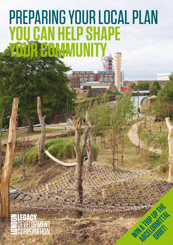# Preparing your Local Plan **You can help shape YOUR COMMUNITY**

**Win a trip up the about** 

**ARCELOR IN THE** 

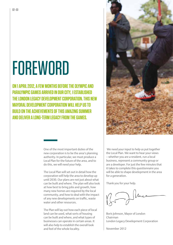# **FOREWORD**

**ON 1 APRIL 2012, A FEW MONTHS BEFORE THE OLYMPIC AND Paralympic Games arrived in our city, I established THE LONDON LEGACY DEVELOPMENT CORPORATION. THIS NEW Mayoral Development Corporation will help us to build on the achievements of this amazing summer and deliver a long-term legacy from the Games.** 

> One of the most important duties of the new corporation is to be the area's planning authority. In particular, we must produce a Local Plan for the future of the area, and to do this, we will need your help.

The Local Plan will set out in detail how the corporation will help the area to develop up until 2030. Our plans are not just about what can be built and where. The plan will also look at how best to bring jobs and growth, how many new homes are required by the local community, and how to deal with the impact of any new developments on traffic, waste water and other resources.

The Plan will lay out how each piece of local land can be used, what sorts of housing can be built and where, and what types of businesses can operate in certain areas. It will also help to establish the overall look and feel of the whole locality.

 We need your input to help us put together the Local Plan. We want to hear your views – whether you are a resident, run a local business, represent a community group or are a developer. For just the few minutes that it takes to complete this questionnaire you will be able to shape development in the area for a generation.

Thank you for your help.

Boris Johnson, Mayor of London Chairman London Legacy Development Corporation

November 2012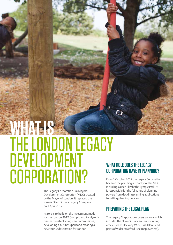# WHAT IS THE LONDON LEGACY **DEVELOPMENT** CORPORATION?

The Legacy Corporation is a Mayoral Development Corporation (MDC) created by the Mayor of London. It replaced the former Olympic Park Legacy Company on 1 April 2012.

Its role is to build on the investment made for the London 2012 Olympic and Paralympic Games by establishing new communities, developing a business park and creating a new tourist destination for London.

# **What role does the Legacy Corporation have in planning?**

From 1 October 2012 the Legacy Corporation became the planning authority for the MDC including Queen Elizabeth Olympic Park. It is responsible for the full range of planning powers from deciding planning applications to setting planning policies.

### **Preparing the Local Plan**

The Legacy Corporation covers an area which includes the Olympic Park and surrounding areas such as Hackney Wick, Fish Island and parts of wider Stratford (see map overleaf).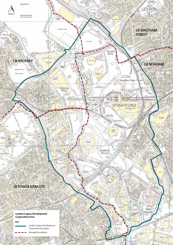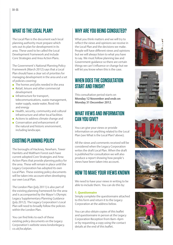# **What is the Local Plan?**

The Local Plan is the document each local planning authority must prepare which sets out its plan for development in its area. These used to be called the Local Development Framework and include Core Strategies and Area Action Plans.

The Government's National Planning Policy Framework (March 2012) says that a Local Plan should have a clear set of priorities for managing development in the area and a set of policies covering:

- $\bullet$  The homes and jobs needed in the area
- $\bullet$  Retail, leisure and other commercial development
- $\bullet$  Infrastructure for transport, telecommunications, waste management, water supply, waste water, flood risk and energy
- $\bullet$  Health, security, community and cultural infrastructure and other local facilities
- Actions to address climate change and
- **Conservation and enhancement of** the natural and historic environment, including landscape.

# **Existing planning policy**

The boroughs of Hackney, Newham, Tower Hamlets and Waltham Forest each have current adopted Core Strategies and Area Action Plans that provide planning policy for the area. These will remain in place until the Legacy Corporation has adopted its own Local Plan. These existing policy documents will be taken into account when developing our own Local Plan.

The London Plan (July 2011) is also part of the existing planning framework for the area and is accompanied by the Mayor's Olympic Legacy Supplementary Planning Guidance (July 2012). The Legacy Corporation's Local Plan will need to broadly follow the policies within the London Plan.

You can find links to each of these existing policy documents on the Legacy Corporation's website www.londonlegacy. co.uk/localplan.

# **Why are you being consulted?**

What you think matters and we will try to reflect the views and opinions we receive in the Local Plan and the decisions we make. People will have different views and opinions but we will always listen to what you have to say. We must follow planning law and Government guidance so there are certain things we can't influence or change but we will let you know when this is the case.

# **When does the consultation start and finish?**

This consultation period starts on **Monday 12 November and ends on Monday 31 December 2012**.

### **What views and information can you give?**

You can give your views or provide information on anything related to the Local Plan (see What is the Local Plan? above).

All the views and comments received will be considered when the Legacy Corporation writes the draft Local Plan. When the draft is published for consultation we will also produce a report showing how people's views have been taken into account.

# **How to make your views known**

We need to have your views in writing to be able to include them. You can do this by:

#### **1. Questionnaire**

Simply complete the questionnaire attached to this form and return it to the Legacy Corporation at the address below.

You can also obtain copies of this leaflet and questionnaire in person at the Legacy Corporation Reception from 8am–6pm or by requesting a copy using the contact details at the end of this leaflet.









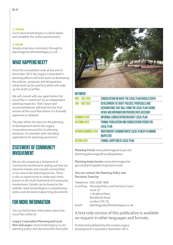#### **2. Online**

Go to www.londonlegacy.co.uk/localplan and complete the online questionnaire.

#### **3. Email**

Simply email your comments through to planningpolicy@londonlegacy.co.uk.

# **What happens next?**

Once the consultation ends at the end of December 2012 the Legacy Corporation's planning officers will start work on developing the policies, proposals and designations (what land can be used for) which will make up the draft Local Plan.

We will consult with you again before the Local Plan is 'examined' by an independent planning inspector. Their report and recommendations will feed into the final version of the Local Plan before it is formally approved or adopted.

The plan will be the basis for the planning of development within the Legacy Corporation area and for its planning decisions, for example when deciding applications for planning permission.

### **Statement of Community Involvement**

We are also preparing a Statement of Community Involvement setting out how we intend to involve and consult communities in our area in the planning process. There is also an opportunity to make your views known on the draft Statement of Community Involvement. Details can be found on the website: www.londonlegacy.co.uk/planningpolicy-and-decisions/supporting-documents

# **For more information**

You can find further information about the Local Plan online at:

Legacy Corporation Planning and Local Plan web pages: www.londonlegacy.co.uk/ planning-policy-and-decisions/the-local-plan



| <b>KEY DATES</b>      |                                                                      |
|-----------------------|----------------------------------------------------------------------|
| NOV - DEC 2012        | CONSULTATION ON WHAT THE LOCAL PLAN SHOULD COVER                     |
| <b>JAN – AUG 2013</b> | DEVELOPMENT OF DRAFT POLICIES, PROPOSALS AND                         |
|                       | DESIGNATIONS THAT WILL FORM THE LOCAL PLAN TAKING                    |
|                       | VIEWS AND INFORMATION PROVIDED INTO ACCOUNT                          |
| <b>SUMMER 2013</b>    | INFORMAL CONSULTATION ON DRAFT LOCAL PLAN                            |
| <b>AUTUMN 2013</b>    | FORMAL PUBLICATION AND CONSULTATION PERIOD FOR                       |
|                       | <b>LOCAL PLAN</b>                                                    |
|                       | SPRING/SUMMER 2014 INDEPENDENT EXAMINATION OF LOCAL PLAN BY PLANNING |
|                       | <b>INSPECTOR</b>                                                     |
| <b>AUTMN 2014</b>     | <b>FORMAL ADOPTION OF LOCAL PLAN</b>                                 |
|                       |                                                                      |

Planning Portal: www.planningportal.gov.uk/ planning/planningpolicyandlegislation

Planning Inspectorate: www.planningportal. gov.uk/planning/planninginspectorate

You can contact the Planning Policy and Decisions Team by:

Telephone: 020 3288 1800 In writing: Planning Policy and Decisions Team Level 10 1 Stratford Place Montfichet Road London E20 1EJ Email: planningpolicy@londonlegacy.co.uk

#### A text-only version of this publication is available on request in other languages and formats.

Printed and published by the London Legacy Development Corporation November 2012.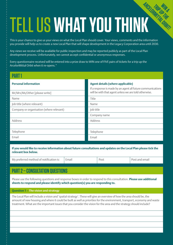# Tell us **what you think ARCELORMITTAL ORBIT!**

This is your chance to give us your views on what the Local Plan should cover. Your views, comments and the information you provide will help us to create a new Local Plan that will shape development in the Legacy Corporation area until 2030.

Any views we receive will be available for public inspection and may be reported publicly as part of the Local Plan development process. Unfortunately, we cannot accept confidential or anonymous responses.

Every questionnaire received will be entered into a prize draw to WIN one of FIVE pairs of tickets for a trip up the ArcelorMittal Orbit when it re-opens.\*

### **Part 1**

Name

#### **Personal information**

Mr/Mrs/Ms/Other [please write]

| 11d111C                    |  |
|----------------------------|--|
| Job title (where relevant) |  |

Company or organisation (where relevant)

| v. |  |
|----|--|
|    |  |

Telephone

Email

#### **If you would like to receive information about future consultations and updates on the Local Plan please tick the relevant box below.**

| My preferred method of notification is: Fmail | Post | Post and email |
|-----------------------------------------------|------|----------------|
|                                               |      |                |

# **Part 2 – Consultation questions**

Please use the following questions and response boxes in order to respond to this consultation. **Please use additional sheets to respond and please identify which question(s) you are responding to.** 

#### **Question 1 – The vision and strategy**

The Local Plan will include a vision and 'spatial strategy'. These will give an overview of how the area should be, the amount of new housing and where it could be built as well as priorities for the environment, transport, economy and waste treatment. What are the important issues that you consider the vision for the area and the strategy should include?

#### **Agent details (where applicable)**

If a response is made by an agent all future communications will be with that agent unless we are told otherwise.

Name

Job title

Company name

Address

Telephone Email

Title